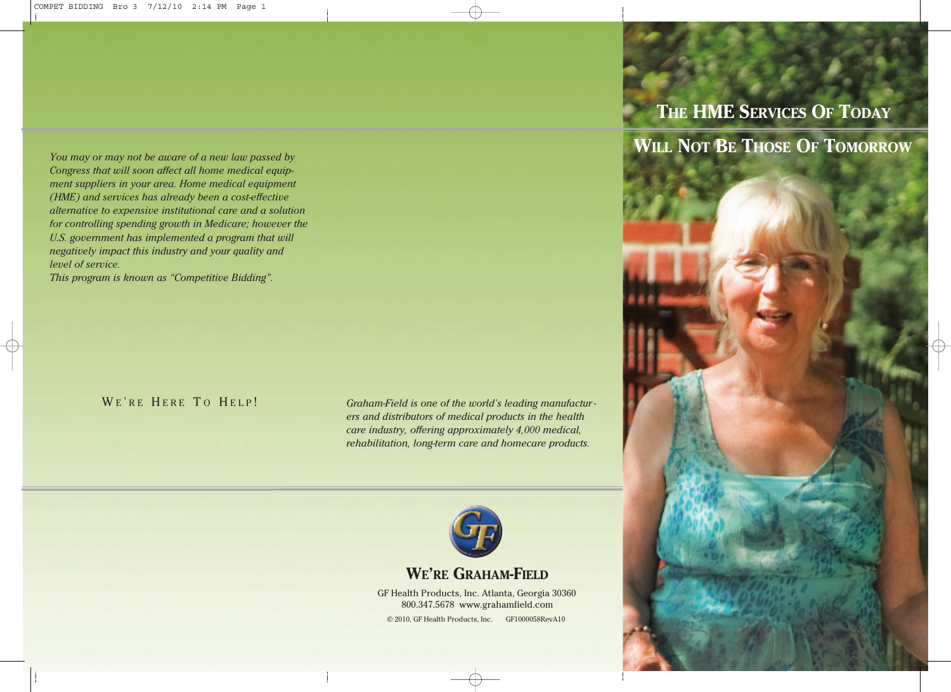*You may or may not be aware of a new law passed by Congress that will soon affect all home medical equipment suppliers in your area. Home medical equipment (HME) and services has already been a cost-effective alternative to expensive institutional care and a solution for controlling spending growth in Medicare; however the U.S. government has implemented a program that will negatively impact this industry and your quality and level of service.* 

*This program is known as "Competitive Bidding".*

WE'RE HERE TO HELP!

*Graham-Field is one of the world's leading manufactur ers and distributors of medical products in the health care industry, offering approximately 4,000 medical, rehabilitation, long-term care and homecare products.*



#### **WE'RE GRAHAM-FIELD**

GF Health Products, Inc. Atlanta, Georgia 30360 800.347.5678 www.grahamfield.com © 2010, GF Health Products, Inc. GF1000058RevA10

# **THE HME SERVICES OF TODAY**

**WILL NOT BE THOSE OF TOMORROW**